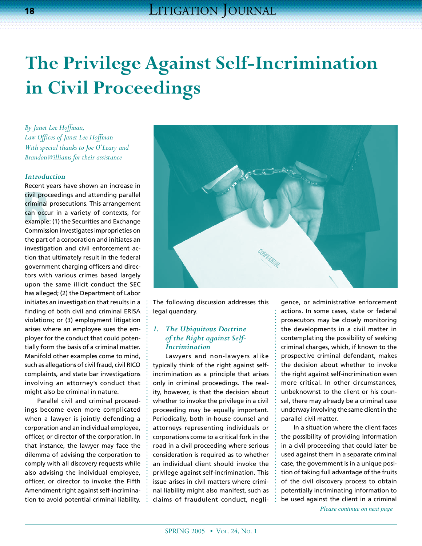# **The Privilege Against Self-Incrimination in Civil Proceedings**

*By Janet Lee Hoffman, Law Offices of Janet Lee Hoffman With special thanks to Joe O'Leary and Brandon Williams for their assistance*

#### *Introduction*

civil proceedings and attending parallel<br>
criminal prosecutions. This arrangement<br>
can occur in a variety of contexts, for<br>
example: (1) the Securities and Exchange Recent years have shown an increase in criminal prosecutions. This arrangement can occur in a variety of contexts, for example: (1) the Securities and Exchange Commission investigates improprieties on the part of a corporation and initiates an investigation and civil enforcement action that ultimately result in the federal government charging officers and directors with various crimes based largely upon the same illicit conduct the SEC has alleged; (2) the Department of Labor initiates an investigation that results in a finding of both civil and criminal ERISA violations; or (3) employment litigation arises where an employee sues the employer for the conduct that could potentially form the basis of a criminal matter. Manifold other examples come to mind, such as allegations of civil fraud, civil RICO complaints, and state bar investigations involving an attorney's conduct that might also be criminal in nature.

Parallel civil and criminal proceedings become even more complicated when a lawyer is jointly defending a corporation and an individual employee, officer, or director of the corporation. In that instance, the lawyer may face the dilemma of advising the corporation to comply with all discovery requests while also advising the individual employee, officer, or director to invoke the Fifth Amendment right against self-incrimination to avoid potential criminal liability.



The following discussion addresses this legal quandary.

## *1. The Ubiquitous Doctrine of the Right against Self-Incrimination*

Lawyers and non-lawyers alike typically think of the right against selfincrimination as a principle that arises only in criminal proceedings. The reality, however, is that the decision about whether to invoke the privilege in a civil proceeding may be equally important. Periodically, both in-house counsel and attorneys representing individuals or corporations come to a critical fork in the road in a civil proceeding where serious consideration is required as to whether an individual client should invoke the privilege against self-incrimination. This issue arises in civil matters where criminal liability might also manifest, such as claims of fraudulent conduct, negligence, or administrative enforcement actions. In some cases, state or federal prosecutors may be closely monitoring the developments in a civil matter in contemplating the possibility of seeking criminal charges, which, if known to the prospective criminal defendant, makes the decision about whether to invoke the right against self-incrimination even more critical. In other circumstances, unbeknownst to the client or his counsel, there may already be a criminal case underway involving the same client in the parallel civil matter.

*Please continue on next page* In a situation where the client faces the possibility of providing information in a civil proceeding that could later be used against them in a separate criminal case, the government is in a unique position of taking full advantage of the fruits of the civil discovery process to obtain potentially incriminating information to be used against the client in a criminal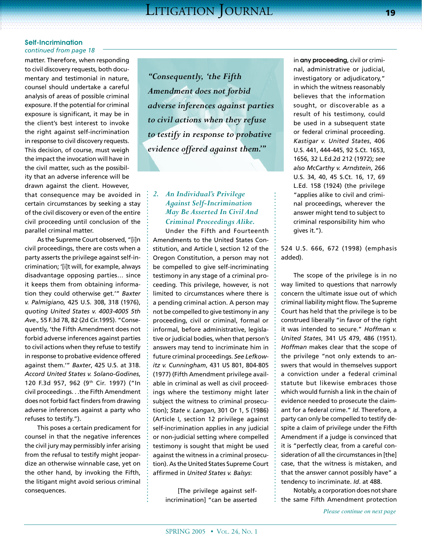matter. Therefore, when responding to civil discovery requests, both documentary and testimonial in nature, counsel should undertake a careful analysis of areas of possible criminal exposure. If the potential for criminal exposure is significant, it may be in the client's best interest to invoke the right against self-incrimination in response to civil discovery requests. This decision, of course, must weigh the impact the invocation will have in the civil matter, such as the possibility that an adverse inference will be drawn against the client. However, that consequence may be avoided in certain circumstances by seeking a stay of the civil discovery or even of the entire civil proceeding until conclusion of the parallel criminal matter.

As the Supreme Court observed, "[i]n civil proceedings, there are costs when a party asserts the privilege against self-incrimination; '[i]t will, for example, always disadvantage opposing parties… since it keeps them from obtaining information they could otherwise get.'" *Baxter v. Palmigiano,* 425 U.S. 308, 318 (1976), *quoting United States v. 4003-4005 5th Ave.,* 55 F.3d 78, 82 (2d Cir.1995). "Consequently, 'the Fifth Amendment does not forbid adverse inferences against parties to civil actions when they refuse to testify in response to probative evidence offered against them.'" *Baxter*, 425 U.S. at 318. *Accord United States v. Solano-Godines*, 120 F.3d 957, 962 (9th Cir. 1997) ("In civil proceedings. . .the Fifth Amendment does not forbid fact finders from drawing adverse inferences against a party who refuses to testify.").

This poses a certain predicament for counsel in that the negative inferences the civil jury may permissibly infer arising from the refusal to testify might jeopardize an otherwise winnable case, yet on the other hand, by invoking the Fifth, the litigant might avoid serious criminal consequences.

*"Consequently, 'the Fifth Amendment does not forbid adverse inferences against parties to civil actions when they refuse to testify in response to probative evidence offered against them.'"* 

# *2. An Individual's Privilege Against Self-Incrimination May Be Asserted In Civil And Criminal Proceedings Alike.*

Under the Fifth and Fourteenth Amendments to the United States Constitution, and Article I, section 12 of the Oregon Constitution, a person may not be compelled to give self-incriminating testimony in any stage of a criminal proceeding. This privilege, however, is not limited to circumstances where there is a pending criminal action. A person may not be compelled to give testimony in any proceeding, civil or criminal, formal or informal, before administrative, legislative or judicial bodies, when that person's answers may tend to incriminate him in future criminal proceedings. *See Lefkowitz v. Cunningham*, 431 US 801, 804-805 (1977) (Fifth Amendment privilege available in criminal as well as civil proceedings where the testimony might later subject the witness to criminal prosecution); *State v. Langan*, 301 Or 1, 5 (1986) (Article I, section 12 privilege against self-incrimination applies in any judicial or non-judicial setting where compelled testimony is sought that might be used against the witness in a criminal prosecution). As the United States Supreme Court affirmed in *United States v. Balsys*:

[The privilege against selfincrimination] "can be asserted in **any proceeding**, civil or criminal, administrative or judicial, investigatory or adjudicatory," in which the witness reasonably believes that the information sought, or discoverable as a result of his testimony, could be used in a subsequent state or federal criminal proceeding. *Kastigar v. United States*, 406 U.S. 441, 444-445, 92 S.Ct. 1653, 1656, 32 L.Ed.2d 212 (1972); *see also McCarthy v. Arndstein*, 266 U.S. 34, 40, 45 S.Ct. 16, 17, 69 L.Ed. 158 (1924) (the privilege "applies alike to civil and criminal proceedings, wherever the answer might tend to subject to criminal responsibility him who gives it.").

524 U.S. 666, 672 (1998) (emphasis added).

The scope of the privilege is in no way limited to questions that narrowly concern the ultimate issue out of which criminal liability might flow. The Supreme Court has held that the privilege is to be construed liberally "in favor of the right it was intended to secure." *Hoffman v. United States*, 341 US 479, 486 (1951). *Hoffman* makes clear that the scope of the privilege "not only extends to answers that would in themselves support a conviction under a federal criminal statute but likewise embraces those which would furnish a link in the chain of evidence needed to prosecute the claimant for a federal crime." *Id*. Therefore, a party can only be compelled to testify despite a claim of privilege under the Fifth Amendment if a judge is convinced that it is "perfectly clear, from a careful consideration of all the circumstances in [the] case, that the witness is mistaken, and that the answer cannot possibly have" a tendency to incriminate. *Id*. at 488.

Notably, a corporation does not share the same Fifth Amendment protection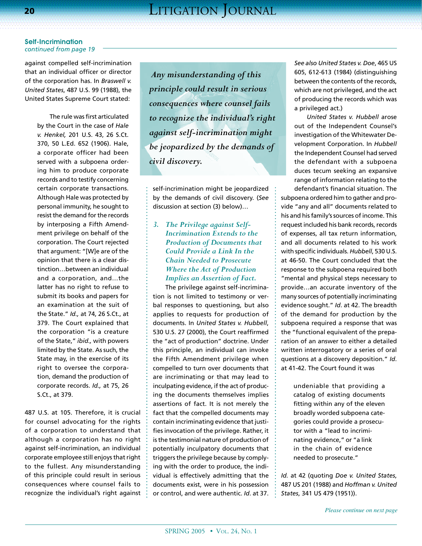against compelled self-incrimination that an individual officer or director of the corporation has. In *Braswell v. United States*, 487 U.S. 99 (1988), the United States Supreme Court stated:

> The rule was first articulated by the Court in the case of *Hale v. Henkel,* 201 U.S. 43, 26 S.Ct. 370, 50 L.Ed. 652 (1906). Hale, a corporate officer had been served with a subpoena ordering him to produce corporate records and to testify concerning certain corporate transactions. Although Hale was protected by personal immunity, he sought to resist the demand for the records by interposing a Fifth Amendment privilege on behalf of the corporation. The Court rejected that argument: "[W]e are of the opinion that there is a clear distinction…between an individual and a corporation, and…the latter has no right to refuse to submit its books and papers for an examination at the suit of the State." *Id.,* at 74, 26 S.Ct., at 379. The Court explained that the corporation "is a creature of the State," *ibid.,* with powers limited by the State. As such, the State may, in the exercise of its right to oversee the corporation, demand the production of corporate records. *Id.,* at 75, 26 S.Ct., at 379.

487 U.S. at 105. Therefore, it is crucial for counsel advocating for the rights of a corporation to understand that although a corporation has no right against self-incrimination, an individual corporate employee still enjoys that right to the fullest. Any misunderstanding of this principle could result in serious consequences where counsel fails to recognize the individual's right against

 *Any misunderstanding of this principle could result in serious consequences where counsel fails to recognize the individual's right against self-incrimination might be jeopardized by the demands of civil discovery.*

self-incrimination might be jeopardized by the demands of civil discovery. (*See* discussion at section (3) below)…

# *3. The Privilege against Self-Incrimination Extends to the Production of Documents that Could Provide a Link In the Chain Needed to Prosecute Where the Act of Production Implies an Assertion of Fact.*

The privilege against self-incrimination is not limited to testimony or verbal responses to questioning, but also applies to requests for production of documents. In *United States v. Hubbell*, 530 U.S. 27 (2000), the Court reaffirmed the "act of production" doctrine. Under this principle, an individual can invoke the Fifth Amendment privilege when compelled to turn over documents that are incriminating or that may lead to inculpating evidence, if the act of producing the documents themselves implies assertions of fact. It is not merely the fact that the compelled documents may contain incriminating evidence that justifies invocation of the privilege. Rather, it is the testimonial nature of production of potentially inculpatory documents that triggers the privilege because by complying with the order to produce, the individual is effectively admitting that the documents exist, were in his possession or control, and were authentic. *Id*. at 37.

*See also United States v. Doe*, 465 US 605, 612-613 (1984) (distinguishing between the contents of the records, which are not privileged, and the act of producing the records which was a privileged act.)

*United States v. Hubbell* arose out of the Independent Counsel's investigation of the Whitewater Development Corporation. In *Hubbell* the Independent Counsel had served the defendant with a subpoena duces tecum seeking an expansive range of information relating to the defendant's financial situation. The

subpoena ordered him to gather and provide "any and all" documents related to his and his family's sources of income. This request included his bank records, records of expenses, all tax return information, and all documents related to his work with specific individuals. *Hubbell*, 530 U.S. at 46-50. The Court concluded that the response to the subpoena required both "mental and physical steps necessary to provide…an accurate inventory of the many sources of potentially incriminating evidence sought." *Id*. at 42. The breadth of the demand for production by the subpoena required a response that was the "functional equivalent of the preparation of an answer to either a detailed written interrogatory or a series of oral questions at a discovery deposition." *Id*. at 41-42. The Court found it was

> undeniable that providing a catalog of existing documents fitting within any of the eleven broadly worded subpoena categories could provide a prosecutor with a "lead to incriminating evidence," or "a link in the chain of evidence needed to prosecute."

*Id.* at 42 (quoting *Doe v. United States*, 487 US 201 (1988) and *Hoffman v. United States*, 341 US 479 (1951)).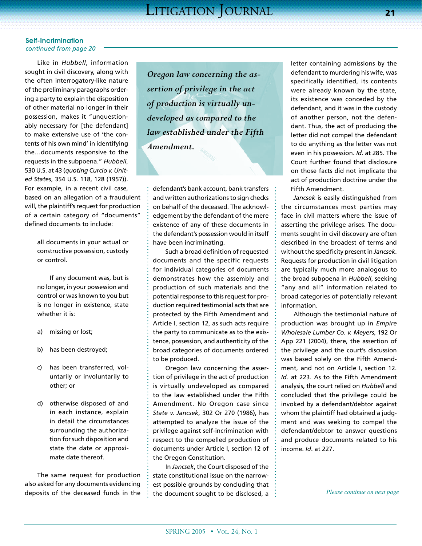Like in *Hubbell*, information sought in civil discovery, along with the often interrogatory-like nature of the preliminary paragraphs ordering a party to explain the disposition of other material no longer in their possession, makes it "unquestionably necessary for [the defendant] to make extensive use of 'the contents of his own mind' in identifying the…documents responsive to the requests in the subpoena." *Hubbell*, 530 U.S. at 43 (*quoting Curcio v. United States*, 354 U.S. 118, 128 (1957)). For example, in a recent civil case, based on an allegation of a fraudulent will, the plaintiff's request for production of a certain category of "documents" defined documents to include:

> all documents in your actual or constructive possession, custody or control.

If any document was, but is no longer, in your possession and control or was known to you but is no longer in existence, state whether it is:

- a) missing or lost;
- b) has been destroyed;
- c) has been transferred, voluntarily or involuntarily to other; or
- d) otherwise disposed of and in each instance, explain in detail the circumstances surrounding the authorization for such disposition and state the date or approximate date thereof.

The same request for production also asked for any documents evidencing deposits of the deceased funds in the

*Oregon law concerning the assertion of privilege in the act of production is virtually undeveloped as compared to the law established under the Fifth Amendment.*

defendant's bank account, bank transfers and written authorizations to sign checks on behalf of the deceased. The acknowledgement by the defendant of the mere existence of any of these documents in the defendant's possession would in itself have been incriminating.

Such a broad definition of requested documents and the specific requests for individual categories of documents demonstrates how the assembly and production of such materials and the potential response to this request for production required testimonial acts that are protected by the Fifth Amendment and Article I, section 12, as such acts require the party to communicate as to the existence, possession, and authenticity of the broad categories of documents ordered to be produced.

Oregon law concerning the assertion of privilege in the act of production is virtually undeveloped as compared to the law established under the Fifth Amendment. No Oregon case since *State v. Jancsek*, 302 Or 270 (1986), has attempted to analyze the issue of the privilege against self-incrimination with respect to the compelled production of documents under Article I, section 12 of the Oregon Constitution.

In *Jancsek*, the Court disposed of the state constitutional issue on the narrowest possible grounds by concluding that the document sought to be disclosed, a  $\cdot$  letter containing admissions by the defendant to murdering his wife, was specifically identified, its contents were already known by the state, its existence was conceded by the defendant, and it was in the custody of another person, not the defendant. Thus, the act of producing the letter did not compel the defendant to do anything as the letter was not even in his possession. *Id*. at 285. The Court further found that disclosure on those facts did not implicate the act of production doctrine under the Fifth Amendment.

*Jancsek* is easily distinguished from the circumstances most parties may face in civil matters where the issue of asserting the privilege arises. The documents sought in civil discovery are often described in the broadest of terms and without the specificity present in *Jancsek*. Requests for production in civil litigation are typically much more analogous to the broad subpoena in *Hubbell*, seeking "any and all" information related to broad categories of potentially relevant information.

Although the testimonial nature of production was brought up in *Empire Wholesale Lumber Co. v. Meyers*, 192 Or App 221 (2004), there, the assertion of the privilege and the court's discussion was based solely on the Fifth Amendment, and not on Article I, section 12. *Id*. at 223. As to the Fifth Amendment analysis, the court relied on *Hubbell* and concluded that the privilege could be invoked by a defendant/debtor against whom the plaintiff had obtained a judgment and was seeking to compel the defendant/debtor to answer questions and produce documents related to his income. *Id*. at 227.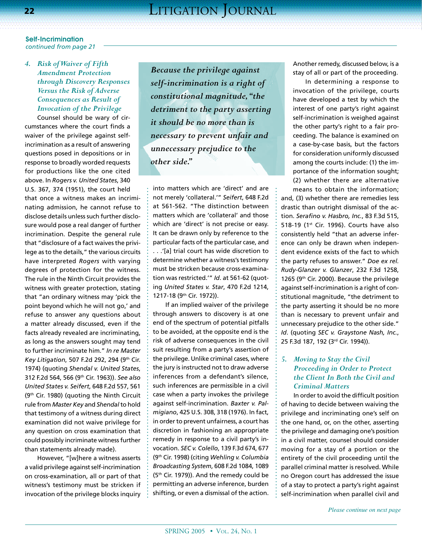# *4. Risk of Waiver of Fifth Amendment Protection through Discovery Responses Versus the Risk of Adverse Consequences as Result of Invocation of the Privilege*

Counsel should be wary of circumstances where the court finds a waiver of the privilege against selfincrimination as a result of answering questions posed in depositions or in response to broadly worded requests for productions like the one cited above. In *Rogers v. United States*, 340 U.S. 367, 374 (1951), the court held that once a witness makes an incriminating admission, he cannot refuse to disclose details unless such further disclosure would pose a real danger of further incrimination. Despite the general rule that "disclosure of a fact waives the privilege as to the details," the various circuits have interpreted *Rogers* with varying degrees of protection for the witness. The rule in the Ninth Circuit provides the witness with greater protection, stating that "an ordinary witness may 'pick the point beyond which he will not go,' and refuse to answer any questions about a matter already discussed, even if the facts already revealed are incriminating, as long as the answers sought may tend to further incriminate him." *In re Master Key Litigation*, 507 F.2d 292, 294 (9th Cir. 1974) (quoting *Shendal v. United States*, 312 F.2d 564, 566 (9th Cir. 1963)). *See also United States v. Seifert*, 648 F.2d 557, 561 (9th Cir. 1980) (quoting the Ninth Circuit rule from *Master Key* and *Shendal* to hold that testimony of a witness during direct examination did not waive privilege for any question on cross examination that could possibly incriminate witness further than statements already made).

However, "[w]here a witness asserts a valid privilege against self-incrimination on cross-examination, all or part of that witness's testimony must be stricken if invocation of the privilege blocks inquiry *Because the privilege against self-incrimination is a right of constitutional magnitude, "the detriment to the party asserting it should be no more than is necessary to prevent unfair and unnecessary prejudice to the other side."*

into matters which are 'direct' and are not merely 'collateral.'" *Seifert*, 648 F.2d at 561-562. "The distinction between matters which are 'collateral' and those which are 'direct' is not precise or easy. It can be drawn only by reference to the particular facts of the particular case, and . . .'[a] trial court has wide discretion to determine whether a witness's testimony must be stricken because cross-examination was restricted.'" *Id*. at 561-62 (quoting *United States v. Star*, 470 F.2d 1214, 1217-18 (9th Cir. 1972)).

If an implied waiver of the privilege through answers to discovery is at one end of the spectrum of potential pitfalls to be avoided, at the opposite end is the risk of adverse consequences in the civil suit resulting from a party's assertion of the privilege. Unlike criminal cases, where the jury is instructed not to draw adverse inferences from a defendant's silence, such inferences are permissible in a civil case when a party invokes the privilege against self-incrimination. *Baxter v. Palmigiano*, 425 U.S. 308, 318 (1976). In fact, in order to prevent unfairness, a court has discretion in fashioning an appropriate remedy in response to a civil party's invocation. *SEC v. Colello*, 139 F.3d 674, 677 (9th Cir. 1998) (citing *Wehling v. Columbia Broadcasting System*, 608 F.2d 1084, 1089 (5th Cir. 1979)). And the remedy could be permitting an adverse inference, burden shifting, or even a dismissal of the action. Another remedy, discussed below, is a stay of all or part of the proceeding.

In determining a response to invocation of the privilege, courts have developed a test by which the interest of one party's right against self-incrimination is weighed against the other party's right to a fair proceeding. The balance is examined on a case-by-case basis, but the factors for consideration uniformly discussed among the courts include: (1) the importance of the information sought; (2) whether there are alternative means to obtain the information;

and, (3) whether there are remedies less drastic than outright dismissal of the action. *Serafino v. Hasbro, Inc.*, 83 F.3d 515, 518-19 (1st Cir. 1996). Courts have also consistently held "that an adverse inference can only be drawn when independent evidence exists of the fact to which the party refuses to answer." *Doe ex rel. Rudy-Glanzer v. Glanzer*, 232 F.3d 1258, 1265 (9th Cir. 2000). Because the privilege against self-incrimination is a right of constitutional magnitude, "the detriment to the party asserting it should be no more than is necessary to prevent unfair and unnecessary prejudice to the other side." *Id*. (quoting *SEC v. Graystone Nash, Inc.*, 25 F.3d 187, 192 (3rd Cir. 1994)).

# *5. Moving to Stay the Civil Proceeding in Order to Protect the Client In Both the Civil and Criminal Matters*

In order to avoid the difficult position of having to decide between waiving the privilege and incriminating one's self on the one hand, or, on the other, asserting the privilege and damaging one's position in a civil matter, counsel should consider moving for a stay of a portion or the entirety of the civil proceeding until the parallel criminal matter is resolved. While no Oregon court has addressed the issue of a stay to protect a party's right against self-incrimination when parallel civil and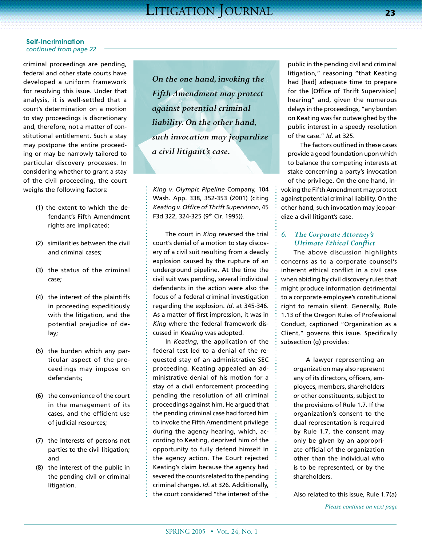criminal proceedings are pending, federal and other state courts have developed a uniform framework for resolving this issue. Under that analysis, it is well-settled that a court's determination on a motion to stay proceedings is discretionary and, therefore, not a matter of constitutional entitlement. Such a stay may postpone the entire proceeding or may be narrowly tailored to particular discovery processes. In considering whether to grant a stay of the civil proceeding, the court weighs the following factors:

- (1) the extent to which the defendant's Fifth Amendment rights are implicated;
- (2) similarities between the civil and criminal cases;
- (3) the status of the criminal case;
- (4) the interest of the plaintiffs in proceeding expeditiously with the litigation, and the potential prejudice of delay;
- (5) the burden which any particular aspect of the proceedings may impose on defendants;
- (6) the convenience of the court in the management of its cases, and the efficient use of judicial resources;
- (7) the interests of persons not parties to the civil litigation; and
- (8) the interest of the public in the pending civil or criminal litigation.

*On the one hand, invoking the Fifth Amendment may protect against potential criminal liability. On the other hand, such invocation may jeopardize a civil litigant's case.* 

*King v. Olympic Pipeline* Company, 104 Wash. App. 338, 352-353 (2001) (citing *Keating v. Office of Thrift Supervision*, 45 F3d 322, 324-325 (9th Cir. 1995)).

The court in *King* reversed the trial court's denial of a motion to stay discovery of a civil suit resulting from a deadly explosion caused by the rupture of an underground pipeline. At the time the civil suit was pending, several individual defendants in the action were also the focus of a federal criminal investigation regarding the explosion. *Id*. at 345-346. As a matter of first impression, it was in *King* where the federal framework discussed in *Keating* was adopted.

In *Keating*, the application of the federal test led to a denial of the requested stay of an administrative SEC proceeding. Keating appealed an administrative denial of his motion for a stay of a civil enforcement proceeding pending the resolution of all criminal proceedings against him. He argued that the pending criminal case had forced him to invoke the Fifth Amendment privilege during the agency hearing, which, according to Keating, deprived him of the opportunity to fully defend himself in the agency action. The Court rejected Keating's claim because the agency had severed the counts related to the pending criminal charges. *Id*. at 326. Additionally, the court considered "the interest of the

public in the pending civil and criminal litigation," reasoning "that Keating had [had] adequate time to prepare for the [Office of Thrift Supervision] hearing" and, given the numerous delays in the proceedings, "any burden on Keating was far outweighed by the public interest in a speedy resolution of the case." *Id*. at 325.

The factors outlined in these cases provide a good foundation upon which to balance the competing interests at stake concerning a party's invocation of the privilege. On the one hand, invoking the Fifth Amendment may protect against potential criminal liability. On the other hand, such invocation may jeopardize a civil litigant's case.

# *6. The Corporate Attorney's Ultimate Ethical Conflict*

The above discussion highlights concerns as to a corporate counsel's inherent ethical conflict in a civil case when abiding by civil discovery rules that might produce information detrimental to a corporate employee's constitutional right to remain silent. Generally, Rule 1.13 of the Oregon Rules of Professional Conduct, captioned "Organization as a Client," governs this issue. Specifically subsection (g) provides:

> A lawyer representing an organization may also represent any of its directors, officers, employees, members, shareholders or other constituents, subject to the provisions of Rule 1.7. If the organization's consent to the dual representation is required by Rule 1.7, the consent may only be given by an appropriate official of the organization other than the individual who is to be represented, or by the shareholders.

Also related to this issue, Rule 1.7(a)